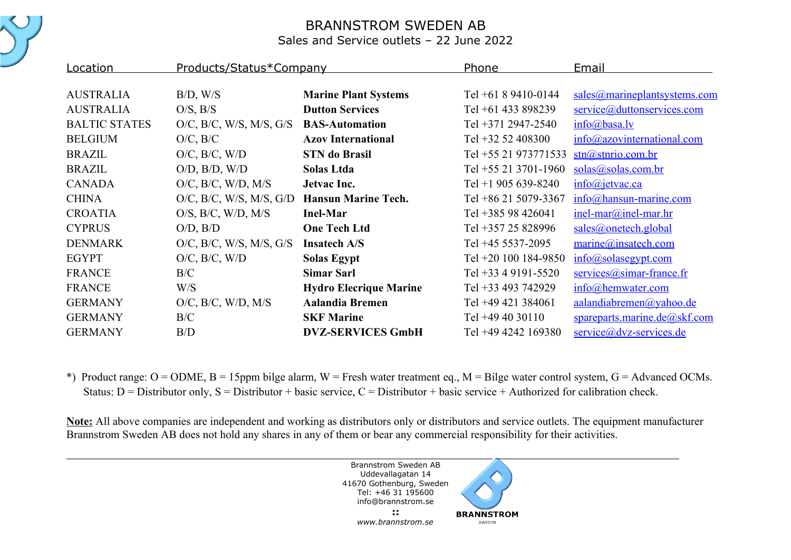

## BRANNSTROM SWEDEN AB

Sales and Service outlets – 22 June 2022

| Location             | Products/Status*Company               |                               | Phone                  | Email                             |
|----------------------|---------------------------------------|-------------------------------|------------------------|-----------------------------------|
|                      |                                       |                               |                        |                                   |
| <b>AUSTRALIA</b>     | B/D, W/S                              | <b>Marine Plant Systems</b>   | Tel $+6189410-0144$    | sales@marineplantsystems.com      |
| <b>AUSTRALIA</b>     | $O/S$ , $B/S$                         | <b>Dutton Services</b>        | Tel $+61$ 433 898239   | service@duttonservices.com        |
| <b>BALTIC STATES</b> | $O/C$ , $B/C$ , W/S, M/S, G/S         | <b>BAS-Automation</b>         | Tel +371 2947-2540     | info@basa.v                       |
| <b>BELGIUM</b>       | $O/C$ , $B/C$                         | <b>Azov International</b>     | Tel $+32$ 52 408300    | info@azovinternational.com        |
| <b>BRAZIL</b>        | $O/C$ , $B/C$ , $W/D$                 | <b>STN</b> do Brasil          | Tel +55 21 973771533   | $\frac{\sin(a)}{\sin(b)}$         |
| <b>BRAZIL</b>        | $O/D$ , $B/D$ , $W/D$                 | Solas Ltda                    | Tel $+55$ 21 3701-1960 | solas@solas.com.br                |
| <b>CANADA</b>        | $O/C$ , $B/C$ , $W/D$ , $M/S$         | Jetvac Inc.                   | Tel +1 905 639-8240    | info@jetvac.ca                    |
| <b>CHINA</b>         | $O/C$ , $B/C$ , $W/S$ , $M/S$ , $G/D$ | <b>Hansun Marine Tech.</b>    | Tel +86 21 5079-3367   | $info@$ hansun-marine.com         |
| <b>CROATIA</b>       | $O/S$ , $B/C$ , $W/D$ , $M/S$         | <b>Inel-Mar</b>               | Tel +385 98 426041     | $inel$ -mar $@$ inel-mar.hr       |
| <b>CYPRUS</b>        | $O/D$ , $B/D$                         | <b>One Tech Ltd</b>           | Tel +357 25 828996     | sales@onetech.global              |
| <b>DENMARK</b>       | $O/C$ , $B/C$ , W/S, M/S, G/S         | <b>Insatech A/S</b>           | Tel +45 5537-2095      | $\text{marine}(a)$ insatech.com   |
| <b>EGYPT</b>         | $O/C$ , $B/C$ , $W/D$                 | <b>Solas Egypt</b>            | Tel +20 100 184-9850   | $info(a)$ solasegypt.com          |
| <b>FRANCE</b>        | B/C                                   | <b>Simar Sarl</b>             | Tel +33 4 9191-5520    | $s$ ervices $(a)$ simar-france.fr |
| <b>FRANCE</b>        | W/S                                   | <b>Hydro Elecrique Marine</b> | Tel +33 493 742929     | $info@$ hemwater.com              |
| <b>GERMANY</b>       | $O/C$ , $B/C$ , $W/D$ , $M/S$         | <b>Aalandia Bremen</b>        | Tel +49 421 384061     | aalandiabremen@yahoo.de           |
| <b>GERMANY</b>       | B/C                                   | <b>SKF Marine</b>             | Tel $+49$ 40 30110     | spareparts.marine.de@skf.com      |
| <b>GERMANY</b>       | B/D                                   | <b>DVZ-SERVICES GmbH</b>      | Tel +49 4242 169380    | service@dvz-services.de           |

\*) Product range:  $O = ODME$ ,  $B = 15$ ppm bilge alarm,  $W =$  Fresh water treatment eq.,  $M =$  Bilge water control system,  $G =$  Advanced OCMs. Status:  $D =$  Distributor only,  $S =$  Distributor + basic service,  $C =$  Distributor + basic service + Authorized for calibration check.

**Note:** All above companies are independent and working as distributors only or distributors and service outlets. The equipment manufacturer Brannstrom Sweden AB does not hold any shares in any of them or bear any commercial responsibility for their activities.

> Brannstrom Sweden AB Uddevallagatan 14 41670 Gothenburg, Sweden Tel: +46 31 195600 info@brannstrom.se

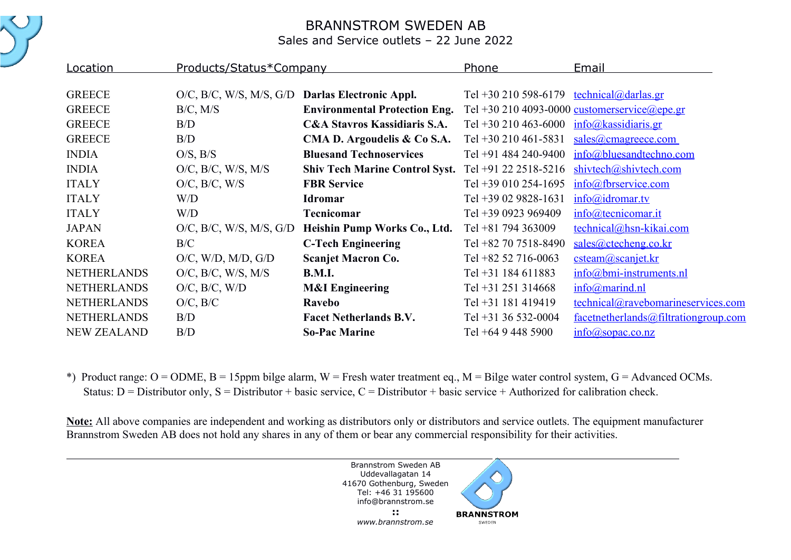

## BRANNSTROM SWEDEN AB

Sales and Service outlets – 22 June 2022

| <b>Location</b>    | Products/Status*Company                         |                                         | <b>Phone</b>                                               | Email                                        |
|--------------------|-------------------------------------------------|-----------------------------------------|------------------------------------------------------------|----------------------------------------------|
| <b>GREECE</b>      | O/C, B/C, W/S, M/S, G/D Darlas Electronic Appl. |                                         | Tel +30 210 598-6179 technical@darlas.gr                   |                                              |
| <b>GREECE</b>      | $B/C$ , $M/S$                                   | <b>Environmental Protection Eng.</b>    |                                                            | Tel +30 210 4093-0000 customerservice@epe.gr |
| <b>GREECE</b>      | B/D                                             | <b>C&amp;A Stavros Kassidiaris S.A.</b> | Tel +30 210 463-6000 $\frac{\text{info@kassidiaris.gr}}{}$ |                                              |
| <b>GREECE</b>      | B/D                                             | CMA D. Argoudelis & Co S.A.             | Tel $+30$ 210 461-5831                                     | sales@cmagreece.com                          |
| <b>INDIA</b>       | $O/S$ , $B/S$                                   | <b>Bluesand Technoservices</b>          | Tel +91 484 240-9400                                       | info@bluesandtechno.com                      |
| <b>INDIA</b>       | $O/C$ , $B/C$ , $W/S$ , $M/S$                   | <b>Shiv Tech Marine Control Syst.</b>   | Tel +91 22 2518-5216                                       | shivtech@shivtech.com                        |
| <b>ITALY</b>       | $O/C$ , $B/C$ , $W/S$                           | <b>FBR</b> Service                      | Tel +39 010 254-1695                                       | info@fbrservice.com                          |
| <b>ITALY</b>       | W/D                                             | <b>Idromar</b>                          | Tel +39 02 9828-1631                                       | info@idromar.tv                              |
| <b>ITALY</b>       | W/D                                             | <b>Tecnicomar</b>                       | Tel +39 0923 969409                                        | $info@$ tecnicomar.it                        |
| <b>JAPAN</b>       | $O/C$ , $B/C$ , W/S, M/S, G/D                   | Heishin Pump Works Co., Ltd.            | Tel +81 794 363009                                         | technical@hsn-kikai.com                      |
| <b>KOREA</b>       | B/C                                             | <b>C-Tech Engineering</b>               | Tel +82 70 7518-8490                                       | sales@ctecheng.co.kr                         |
| <b>KOREA</b>       | $O/C$ , W/D, M/D, G/D                           | <b>Scanjet Macron Co.</b>               | Tel +82 52 716-0063                                        | csteam@scanjet.kr                            |
| <b>NETHERLANDS</b> | $O/C$ , $B/C$ , $W/S$ , $M/S$                   | <b>B.M.I.</b>                           | Tel +31 184 611883                                         | $info@bmi-instruments.nl$                    |
| <b>NETHERLANDS</b> | $O/C$ , $B/C$ , $W/D$                           | <b>M&amp;I</b> Engineering              | Tel +31 251 314668                                         | $info(\omega)$ marind.nl                     |
| <b>NETHERLANDS</b> | $O/C$ , $B/C$                                   | Ravebo                                  | Tel +31 181 419419                                         | technical@ravebomarineservices.com           |
| <b>NETHERLANDS</b> | B/D                                             | <b>Facet Netherlands B.V.</b>           | Tel $+31$ 36 532-0004                                      | facetnetherlands@filtrationgroup.com         |
| <b>NEW ZEALAND</b> | B/D                                             | <b>So-Pac Marine</b>                    | Tel $+6494485900$                                          | $info(\omega)$ sopac.co.nz                   |

\*) Product range:  $O = ODME$ ,  $B = 15$ ppm bilge alarm,  $W =$  Fresh water treatment eq.,  $M =$  Bilge water control system,  $G =$  Advanced OCMs. Status:  $D =$  Distributor only,  $S =$  Distributor + basic service,  $C =$  Distributor + basic service + Authorized for calibration check.

**Note:** All above companies are independent and working as distributors only or distributors and service outlets. The equipment manufacturer Brannstrom Sweden AB does not hold any shares in any of them or bear any commercial responsibility for their activities.

> Brannstrom Sweden AB Uddevallagatan 14 41670 Gothenburg, Sweden Tel: +46 31 195600 info@brannstrom.se

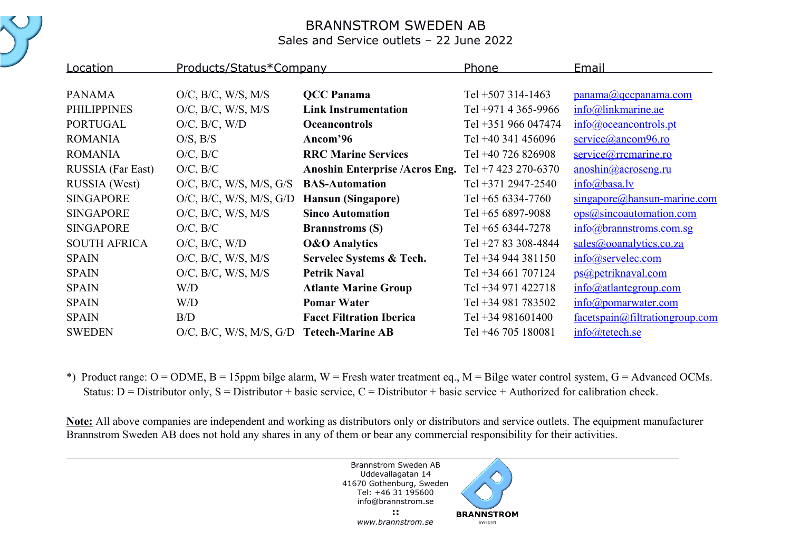

## BRANNSTROM SWEDEN AB

Sales and Service outlets – 22 June 2022

| Location            | Products/Status*Company                  |                                       | Phone               | Email                                           |
|---------------------|------------------------------------------|---------------------------------------|---------------------|-------------------------------------------------|
|                     |                                          |                                       |                     |                                                 |
| <b>PANAMA</b>       | $O/C$ , $B/C$ , $W/S$ , $M/S$            | <b>QCC</b> Panama                     | Tel $+507$ 314-1463 | panama@qccpanama.com                            |
| <b>PHILIPPINES</b>  | $O/C$ , $B/C$ , $W/S$ , $M/S$            | <b>Link Instrumentation</b>           | Tel +971 4 365-9966 | info@linkmarine.ae                              |
| <b>PORTUGAL</b>     | $O/C$ , $B/C$ , $W/D$                    | <b>Oceancontrols</b>                  | Tel +351 966 047474 | info@oceancontrols.pt                           |
| <b>ROMANIA</b>      | $O/S$ , $B/S$                            | Ancom'96                              | Tel +40 341 456096  | service@ancom96.ro                              |
| <b>ROMANIA</b>      | $O/C$ , $B/C$                            | <b>RRC Marine Services</b>            | Tel +40 726 826908  | service@rrcmarine.ro                            |
| RUSSIA (Far East)   | $O/C$ , $B/C$                            | <b>Anoshin Enterprise /Acros Eng.</b> | Tel +7 423 270-6370 | $anoshin(a)$ acroseng.ru                        |
| RUSSIA (West)       | $O/C$ , $B/C$ , W/S, M/S, G/S            | <b>BAS-Automation</b>                 | Tel +371 2947-2540  | $info(a)$ basa.lv                               |
| <b>SINGAPORE</b>    | $O/C$ , $B/C$ , W/S, M/S, G/D            | <b>Hansun</b> (Singapore)             | Tel +65 6334-7760   | $\frac{\text{single pore}(a)$ hansun-marine.com |
| <b>SINGAPORE</b>    | $O/C$ , $B/C$ , $W/S$ , $M/S$            | <b>Sinco Automation</b>               | Tel $+656897-9088$  | ops@sincoautomation.com                         |
| <b>SINGAPORE</b>    | $O/C$ , $B/C$                            | <b>Brannstroms (S)</b>                | Tel +65 6344-7278   | info@brannstroms.com.sg                         |
| <b>SOUTH AFRICA</b> | $O/C$ , $B/C$ , $W/D$                    | <b>O&amp;O</b> Analytics              | Tel +27 83 308-4844 | sales@ooanalytics.co.za                         |
| <b>SPAIN</b>        | $O/C$ , $B/C$ , $W/S$ , $M/S$            | Servelec Systems & Tech.              | Tel +34 944 381150  | $info@$ servelec.com                            |
| <b>SPAIN</b>        | $O/C$ , $B/C$ , $W/S$ , $M/S$            | <b>Petrik Naval</b>                   | Tel +34 661 707124  | ps@petriknaval.com                              |
| <b>SPAIN</b>        | W/D                                      | <b>Atlante Marine Group</b>           | Tel +34 971 422718  | $info@$ atlantegroup.com                        |
| <b>SPAIN</b>        | W/D                                      | <b>Pomar Water</b>                    | Tel +34 981 783502  | info@pomarwater.com                             |
| <b>SPAIN</b>        | B/D                                      | <b>Facet Filtration Iberica</b>       | Tel +34 981601400   | facetspain@filtrationgroup.com                  |
| <b>SWEDEN</b>       | O/C, B/C, W/S, M/S, G/D Tetech-Marine AB |                                       | Tel +46 705 180081  | info@tetech.se                                  |

\*) Product range:  $O = ODME$ ,  $B = 15$ ppm bilge alarm,  $W =$  Fresh water treatment eq.,  $M =$  Bilge water control system,  $G =$  Advanced OCMs. Status:  $D =$  Distributor only,  $S =$  Distributor + basic service,  $C =$  Distributor + basic service + Authorized for calibration check.

**Note:** All above companies are independent and working as distributors only or distributors and service outlets. The equipment manufacturer Brannstrom Sweden AB does not hold any shares in any of them or bear any commercial responsibility for their activities.

> Brannstrom Sweden AB Uddevallagatan 14 41670 Gothenburg, Sweden Tel: +46 31 195600 info@brannstrom.se